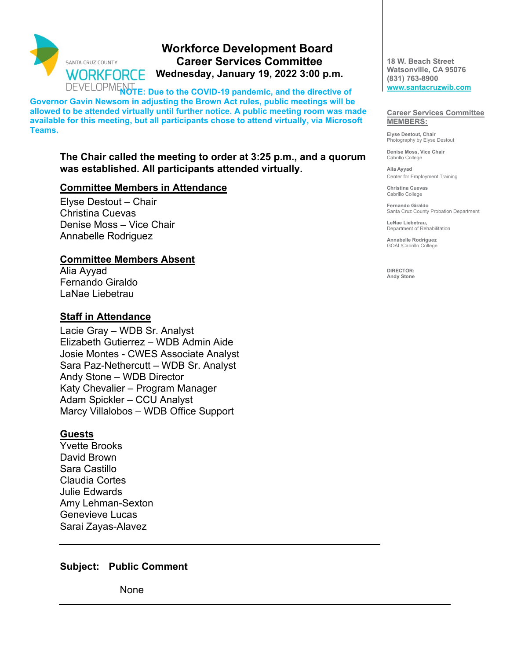

# **Workforce Development Board Career Services Committee Wednesday, January 19, 2022 3:00 p.m.**

DEVELOPMENT<sub>RO</sub>TE: Due to the COVID-19 pandemic, and the directive of **Governor Gavin Newsom in adjusting the Brown Act rules, public meetings will be allowed to be attended virtually until further notice. A public meeting room was made available for this meeting, but all participants chose to attend virtually, via Microsoft Teams.** 

#### **The Chair called the meeting to order at 3:25 p.m., and a quorum was established. All participants attended virtually.**

### **Committee Members in Attendance**

Elyse Destout – Chair Christina Cuevas Denise Moss – Vice Chair Annabelle Rodriguez

### **Committee Members Absent**

Alia Ayyad Fernando Giraldo LaNae Liebetrau

### **Staff in Attendance**

Lacie Gray – WDB Sr. Analyst Elizabeth Gutierrez – WDB Admin Aide Josie Montes - CWES Associate Analyst Sara Paz-Nethercutt – WDB Sr. Analyst Andy Stone – WDB Director Katy Chevalier – Program Manager Adam Spickler – CCU Analyst Marcy Villalobos – WDB Office Support

## **Guests**

Yvette Brooks David Brown Sara Castillo Claudia Cortes Julie Edwards Amy Lehman-Sexton Genevieve Lucas Sarai Zayas-Alavez

## **Subject: Public Comment**

None

**18 W. Beach Street Watsonville, CA 95076 (831) 763-8900 [www.santacruzwib.com](http://www.santacruzwib.com/)**

#### **Career Services Committee MEMBERS:**

**Elyse Destout, Chair** Photography by Elyse Destout

**Denise Moss, Vice Chair** Cabrillo College

**Alia Ayyad** Center for Employment Training

**Christina Cuevas** Cabrillo College

**Fernando Giraldo** Santa Cruz County Probation Department

**LeNae Liebetrau,**  Department of Rehabilitation

**Annabelle Rodriguez** GOAL/Cabrillo College

**DIRECTOR: Andy Stone**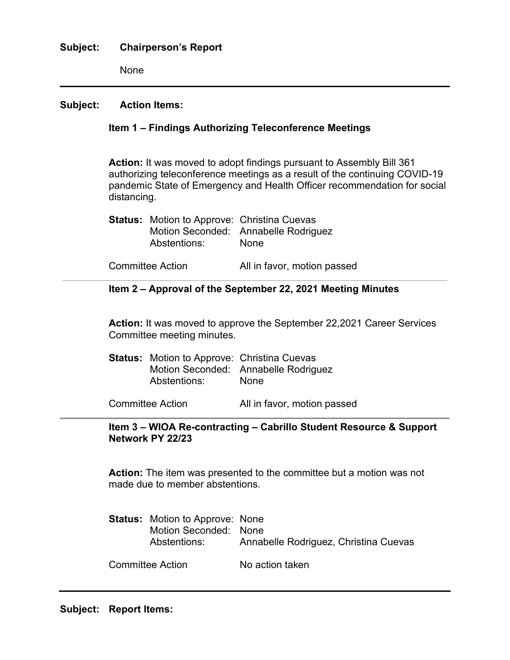#### **Subject: Chairperson's Report**

None

#### **Subject: Action Items:**

#### **Item 1 – Findings Authorizing Teleconference Meetings**

**Action:** It was moved to adopt findings pursuant to Assembly Bill 361 authorizing teleconference meetings as a result of the continuing COVID-19 pandemic State of Emergency and Health Officer recommendation for social distancing.

| <b>Status:</b> Motion to Approve: Christina Cuevas |                                      |
|----------------------------------------------------|--------------------------------------|
|                                                    | Motion Seconded: Annabelle Rodriguez |
| Abstentions:                                       | <b>None</b>                          |

Committee Action All in favor, motion passed

#### **Item 2 – Approval of the September 22, 2021 Meeting Minutes**

**Action:** It was moved to approve the September 22,2021 Career Services Committee meeting minutes.

**Status:** Motion to Approve: Christina Cuevas Motion Seconded: Annabelle Rodriguez Abstentions: None

Committee Action All in favor, motion passed

#### **Item 3 – WIOA Re-contracting – Cabrillo Student Resource & Support Network PY 22/23**

**Action:** The item was presented to the committee but a motion was not made due to member abstentions.

| <b>Status:</b> Motion to Approve: None<br>Motion Seconded: None<br>Abstentions: | Annabelle Rodriguez, Christina Cuevas |
|---------------------------------------------------------------------------------|---------------------------------------|
| <b>Committee Action</b>                                                         | No action taken                       |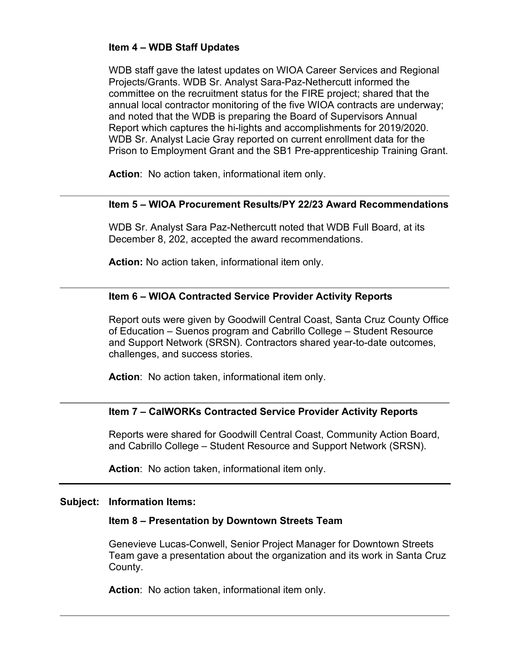## **Item 4 – WDB Staff Updates**

WDB staff gave the latest updates on WIOA Career Services and Regional Projects/Grants. WDB Sr. Analyst Sara-Paz-Nethercutt informed the committee on the recruitment status for the FIRE project; shared that the annual local contractor monitoring of the five WIOA contracts are underway; and noted that the WDB is preparing the Board of Supervisors Annual Report which captures the hi-lights and accomplishments for 2019/2020. WDB Sr. Analyst Lacie Gray reported on current enrollment data for the Prison to Employment Grant and the SB1 Pre-apprenticeship Training Grant.

**Action**: No action taken, informational item only.

#### **Item 5 – WIOA Procurement Results/PY 22/23 Award Recommendations**

WDB Sr. Analyst Sara Paz-Nethercutt noted that WDB Full Board, at its December 8, 202, accepted the award recommendations.

**Action:** No action taken, informational item only.

### **Item 6 – WIOA Contracted Service Provider Activity Reports**

Report outs were given by Goodwill Central Coast, Santa Cruz County Office of Education – Suenos program and Cabrillo College – Student Resource and Support Network (SRSN). Contractors shared year-to-date outcomes, challenges, and success stories.

**Action**: No action taken, informational item only.

#### **Item 7 – CalWORKs Contracted Service Provider Activity Reports**

Reports were shared for Goodwill Central Coast, Community Action Board, and Cabrillo College – Student Resource and Support Network (SRSN).

**Action**: No action taken, informational item only.

#### **Subject: Information Items:**

#### **Item 8 – Presentation by Downtown Streets Team**

Genevieve Lucas-Conwell, Senior Project Manager for Downtown Streets Team gave a presentation about the organization and its work in Santa Cruz County.

**Action**: No action taken, informational item only.